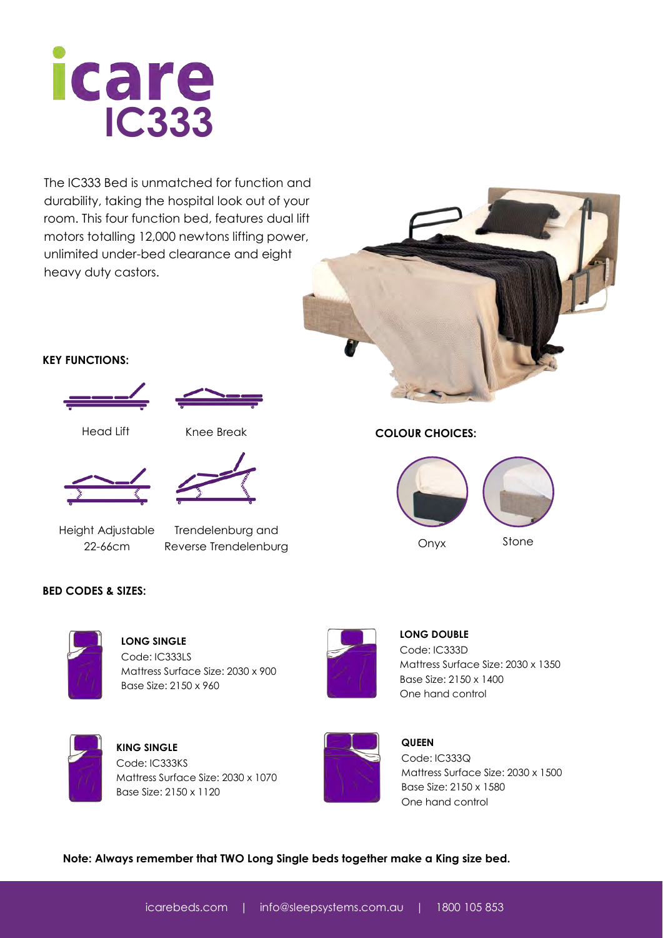

The IC333 Bed is unmatched for function and durability, taking the hospital look out of your room. This four function bed, features dual lift motors totalling 12,000 newtons lifting power, unlimited under-bed clearance and eight heavy duty castors.

## **KEY FUNCTIONS:**





Head Lift Knee Break



Height Adjustable 22-66cm

Trendelenburg and Reverse Trendelenburg

### **BED CODES & SIZES:**



**LONG SINGLE**  Code: IC333LS Mattress Surface Size: 2030 x 900 Base Size: 2150 x 960



**KING SINGLE**  Code: IC333KS Mattress Surface Size: 2030 x 1070 Base Size: 2150 x 1120



**LONG DOUBLE**  Code: IC333D Mattress Surface Size: 2030 x 1350 Base Size: 2150 x 1400



**QUEEN**  Code: IC333Q Mattress Surface Size: 2030 x 1500 Base Size: 2150 x 1580 One hand control



**COLOUR CHOICES:** 



One hand control

**Note: Always remember that TWO Long Single beds together make a King size bed.**